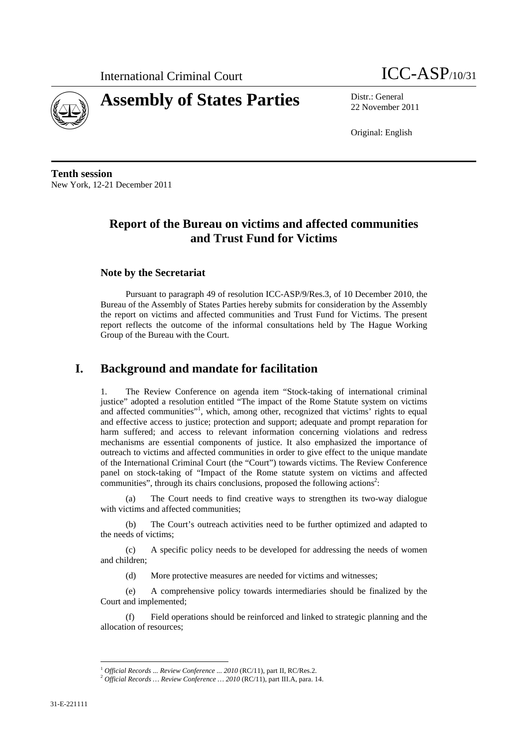



22 November 2011

Original: English

**Tenth session**  New York, 12-21 December 2011

# **Report of the Bureau on victims and affected communities and Trust Fund for Victims**

## **Note by the Secretariat**

Pursuant to paragraph 49 of resolution ICC-ASP/9/Res.3, of 10 December 2010, the Bureau of the Assembly of States Parties hereby submits for consideration by the Assembly the report on victims and affected communities and Trust Fund for Victims. The present report reflects the outcome of the informal consultations held by The Hague Working Group of the Bureau with the Court.

# **I. Background and mandate for facilitation**

The Review Conference on agenda item "Stock-taking of international criminal justice" adopted a resolution entitled "The impact of the Rome Statute system on victims and affected communities"<sup>1</sup>, which, among other, recognized that victims' rights to equal and effective access to justice; protection and support; adequate and prompt reparation for harm suffered; and access to relevant information concerning violations and redress mechanisms are essential components of justice. It also emphasized the importance of outreach to victims and affected communities in order to give effect to the unique mandate of the International Criminal Court (the "Court") towards victims. The Review Conference panel on stock-taking of "Impact of the Rome statute system on victims and affected communities", through its chairs conclusions, proposed the following actions<sup>2</sup>:

(a) The Court needs to find creative ways to strengthen its two-way dialogue with victims and affected communities:

(b) The Court's outreach activities need to be further optimized and adapted to the needs of victims;

(c) A specific policy needs to be developed for addressing the needs of women and children;

(d) More protective measures are needed for victims and witnesses;

(e) A comprehensive policy towards intermediaries should be finalized by the Court and implemented;

(f) Field operations should be reinforced and linked to strategic planning and the allocation of resources;

<sup>&</sup>lt;sup>1</sup> *Official Records ... Review Conference ... 2010* (RC/11), part II, RC/Res.2. <sup>2</sup> *Official Records ... Review Conference ... 2010* (RC/11), part III.A, para. 14.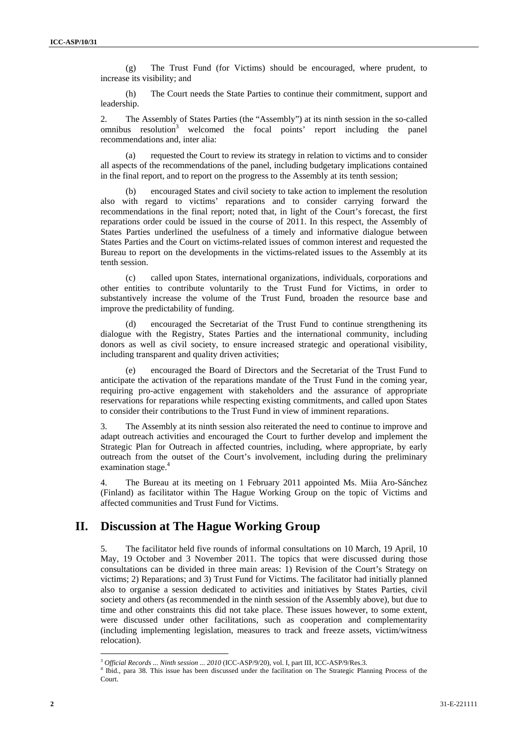(g) The Trust Fund (for Victims) should be encouraged, where prudent, to increase its visibility; and

(h) The Court needs the State Parties to continue their commitment, support and leadership.

2. The Assembly of States Parties (the "Assembly") at its ninth session in the so-called omnibus resolution<sup>3</sup> welcomed the focal points' report including the panel recommendations and, inter alia:

(a) requested the Court to review its strategy in relation to victims and to consider all aspects of the recommendations of the panel, including budgetary implications contained in the final report, and to report on the progress to the Assembly at its tenth session;

(b) encouraged States and civil society to take action to implement the resolution also with regard to victims' reparations and to consider carrying forward the recommendations in the final report; noted that, in light of the Court's forecast, the first reparations order could be issued in the course of 2011. In this respect, the Assembly of States Parties underlined the usefulness of a timely and informative dialogue between States Parties and the Court on victims-related issues of common interest and requested the Bureau to report on the developments in the victims-related issues to the Assembly at its tenth session.

(c) called upon States, international organizations, individuals, corporations and other entities to contribute voluntarily to the Trust Fund for Victims, in order to substantively increase the volume of the Trust Fund, broaden the resource base and improve the predictability of funding.

(d) encouraged the Secretariat of the Trust Fund to continue strengthening its dialogue with the Registry, States Parties and the international community, including donors as well as civil society, to ensure increased strategic and operational visibility, including transparent and quality driven activities;

(e) encouraged the Board of Directors and the Secretariat of the Trust Fund to anticipate the activation of the reparations mandate of the Trust Fund in the coming year, requiring pro-active engagement with stakeholders and the assurance of appropriate reservations for reparations while respecting existing commitments, and called upon States to consider their contributions to the Trust Fund in view of imminent reparations.

3. The Assembly at its ninth session also reiterated the need to continue to improve and adapt outreach activities and encouraged the Court to further develop and implement the Strategic Plan for Outreach in affected countries, including, where appropriate, by early outreach from the outset of the Court's involvement, including during the preliminary examination stage.<sup>4</sup>

4. The Bureau at its meeting on 1 February 2011 appointed Ms. Miia Aro-Sánchez (Finland) as facilitator within The Hague Working Group on the topic of Victims and affected communities and Trust Fund for Victims.

# **II. Discussion at The Hague Working Group**

5. The facilitator held five rounds of informal consultations on 10 March, 19 April, 10 May, 19 October and 3 November 2011. The topics that were discussed during those consultations can be divided in three main areas: 1) Revision of the Court's Strategy on victims; 2) Reparations; and 3) Trust Fund for Victims. The facilitator had initially planned also to organise a session dedicated to activities and initiatives by States Parties, civil society and others (as recommended in the ninth session of the Assembly above), but due to time and other constraints this did not take place. These issues however, to some extent, were discussed under other facilitations, such as cooperation and complementarity (including implementing legislation, measures to track and freeze assets, victim/witness relocation).

<sup>3</sup> *Official Records ... Ninth session ... 2010* (ICC-ASP/9/20), vol. I, part III, ICC-ASP/9/Res.3. 4

<sup>&</sup>lt;sup>4</sup> Ibid., para 38. This issue has been discussed under the facilitation on The Strategic Planning Process of the Court.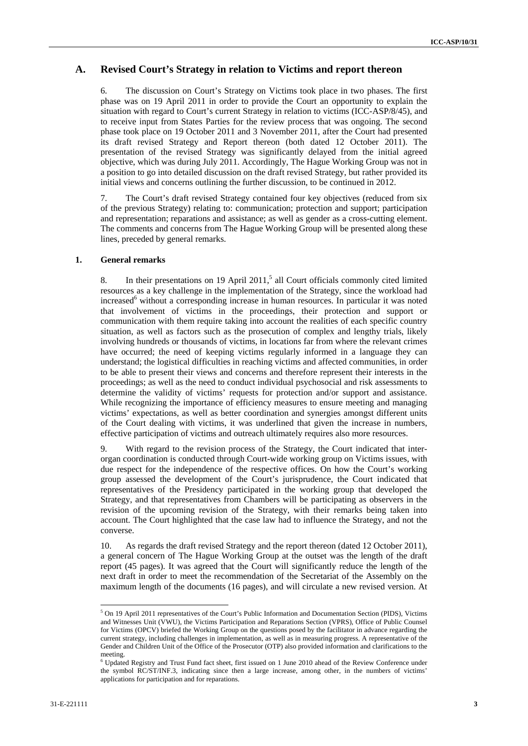### **A. Revised Court's Strategy in relation to Victims and report thereon**

6. The discussion on Court's Strategy on Victims took place in two phases. The first phase was on 19 April 2011 in order to provide the Court an opportunity to explain the situation with regard to Court's current Strategy in relation to victims (ICC-ASP/8/45), and to receive input from States Parties for the review process that was ongoing. The second phase took place on 19 October 2011 and 3 November 2011, after the Court had presented its draft revised Strategy and Report thereon (both dated 12 October 2011). The presentation of the revised Strategy was significantly delayed from the initial agreed objective, which was during July 2011. Accordingly, The Hague Working Group was not in a position to go into detailed discussion on the draft revised Strategy, but rather provided its initial views and concerns outlining the further discussion, to be continued in 2012.

7. The Court's draft revised Strategy contained four key objectives (reduced from six of the previous Strategy) relating to: communication; protection and support; participation and representation; reparations and assistance; as well as gender as a cross-cutting element. The comments and concerns from The Hague Working Group will be presented along these lines, preceded by general remarks.

#### **1. General remarks**

8. In their presentations on 19 April 2011,<sup>5</sup> all Court officials commonly cited limited resources as a key challenge in the implementation of the Strategy, since the workload had increased<sup>6</sup> without a corresponding increase in human resources. In particular it was noted that involvement of victims in the proceedings, their protection and support or communication with them require taking into account the realities of each specific country situation, as well as factors such as the prosecution of complex and lengthy trials, likely involving hundreds or thousands of victims, in locations far from where the relevant crimes have occurred; the need of keeping victims regularly informed in a language they can understand; the logistical difficulties in reaching victims and affected communities, in order to be able to present their views and concerns and therefore represent their interests in the proceedings; as well as the need to conduct individual psychosocial and risk assessments to determine the validity of victims' requests for protection and/or support and assistance. While recognizing the importance of efficiency measures to ensure meeting and managing victims' expectations, as well as better coordination and synergies amongst different units of the Court dealing with victims, it was underlined that given the increase in numbers, effective participation of victims and outreach ultimately requires also more resources.

9. With regard to the revision process of the Strategy, the Court indicated that interorgan coordination is conducted through Court-wide working group on Victims issues, with due respect for the independence of the respective offices. On how the Court's working group assessed the development of the Court's jurisprudence, the Court indicated that representatives of the Presidency participated in the working group that developed the Strategy, and that representatives from Chambers will be participating as observers in the revision of the upcoming revision of the Strategy, with their remarks being taken into account. The Court highlighted that the case law had to influence the Strategy, and not the converse.

10. As regards the draft revised Strategy and the report thereon (dated 12 October 2011), a general concern of The Hague Working Group at the outset was the length of the draft report (45 pages). It was agreed that the Court will significantly reduce the length of the next draft in order to meet the recommendation of the Secretariat of the Assembly on the maximum length of the documents (16 pages), and will circulate a new revised version. At

<sup>&</sup>lt;sup>5</sup> On 19 April 2011 representatives of the Court's Public Information and Documentation Section (PIDS), Victims and Witnesses Unit (VWU), the Victims Participation and Reparations Section (VPRS), Office of Public Counsel for Victims (OPCV) briefed the Working Group on the questions posed by the facilitator in advance regarding the current strategy, including challenges in implementation, as well as in measuring progress. A representative of the Gender and Children Unit of the Office of the Prosecutor (OTP) also provided information and clarifications to the meeting.

<sup>&</sup>lt;sup>6</sup> Updated Registry and Trust Fund fact sheet, first issued on 1 June 2010 ahead of the Review Conference under the symbol RC/ST/INF.3, indicating since then a large increase, among other, in the numbers of victims' applications for participation and for reparations.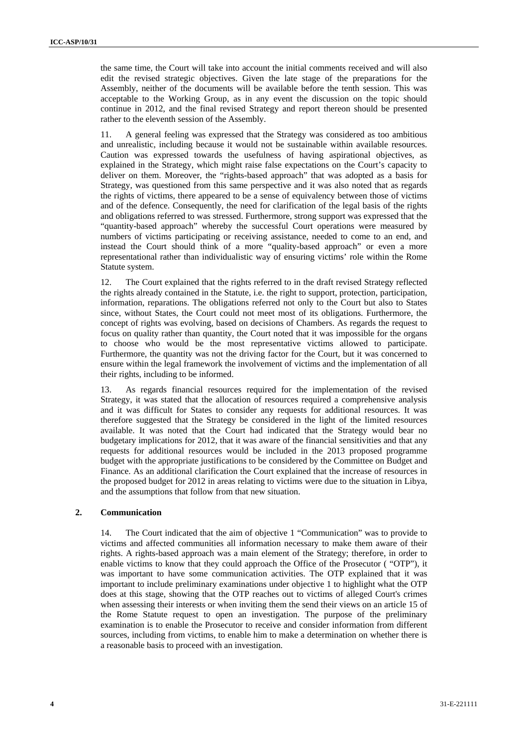the same time, the Court will take into account the initial comments received and will also edit the revised strategic objectives. Given the late stage of the preparations for the Assembly, neither of the documents will be available before the tenth session. This was acceptable to the Working Group, as in any event the discussion on the topic should continue in 2012, and the final revised Strategy and report thereon should be presented rather to the eleventh session of the Assembly.

11. A general feeling was expressed that the Strategy was considered as too ambitious and unrealistic, including because it would not be sustainable within available resources. Caution was expressed towards the usefulness of having aspirational objectives, as explained in the Strategy, which might raise false expectations on the Court's capacity to deliver on them. Moreover, the "rights-based approach" that was adopted as a basis for Strategy, was questioned from this same perspective and it was also noted that as regards the rights of victims, there appeared to be a sense of equivalency between those of victims and of the defence. Consequently, the need for clarification of the legal basis of the rights and obligations referred to was stressed. Furthermore, strong support was expressed that the "quantity-based approach" whereby the successful Court operations were measured by numbers of victims participating or receiving assistance, needed to come to an end, and instead the Court should think of a more "quality-based approach" or even a more representational rather than individualistic way of ensuring victims' role within the Rome Statute system.

12. The Court explained that the rights referred to in the draft revised Strategy reflected the rights already contained in the Statute, i.e. the right to support, protection, participation, information, reparations. The obligations referred not only to the Court but also to States since, without States, the Court could not meet most of its obligations. Furthermore, the concept of rights was evolving, based on decisions of Chambers. As regards the request to focus on quality rather than quantity, the Court noted that it was impossible for the organs to choose who would be the most representative victims allowed to participate. Furthermore, the quantity was not the driving factor for the Court, but it was concerned to ensure within the legal framework the involvement of victims and the implementation of all their rights, including to be informed.

13. As regards financial resources required for the implementation of the revised Strategy, it was stated that the allocation of resources required a comprehensive analysis and it was difficult for States to consider any requests for additional resources. It was therefore suggested that the Strategy be considered in the light of the limited resources available. It was noted that the Court had indicated that the Strategy would bear no budgetary implications for 2012, that it was aware of the financial sensitivities and that any requests for additional resources would be included in the 2013 proposed programme budget with the appropriate justifications to be considered by the Committee on Budget and Finance. As an additional clarification the Court explained that the increase of resources in the proposed budget for 2012 in areas relating to victims were due to the situation in Libya, and the assumptions that follow from that new situation.

### **2. Communication**

14. The Court indicated that the aim of objective 1 "Communication" was to provide to victims and affected communities all information necessary to make them aware of their rights. A rights-based approach was a main element of the Strategy; therefore, in order to enable victims to know that they could approach the Office of the Prosecutor ( "OTP"), it was important to have some communication activities. The OTP explained that it was important to include preliminary examinations under objective 1 to highlight what the OTP does at this stage, showing that the OTP reaches out to victims of alleged Court's crimes when assessing their interests or when inviting them the send their views on an article 15 of the Rome Statute request to open an investigation. The purpose of the preliminary examination is to enable the Prosecutor to receive and consider information from different sources, including from victims, to enable him to make a determination on whether there is a reasonable basis to proceed with an investigation.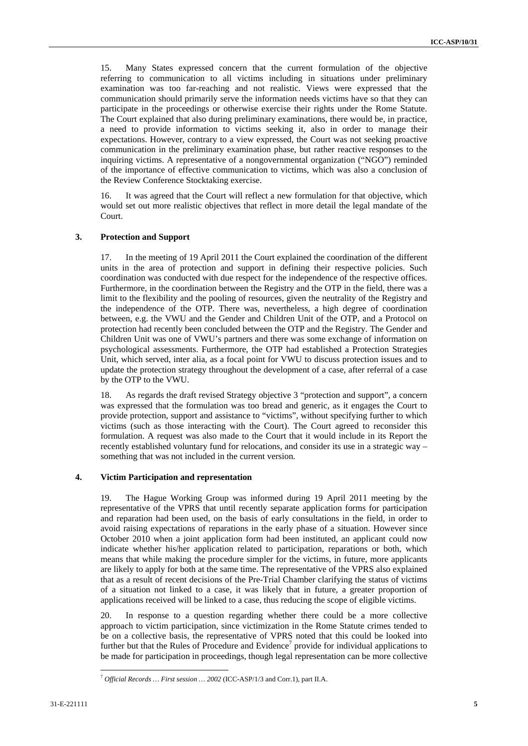15. Many States expressed concern that the current formulation of the objective referring to communication to all victims including in situations under preliminary examination was too far-reaching and not realistic. Views were expressed that the communication should primarily serve the information needs victims have so that they can participate in the proceedings or otherwise exercise their rights under the Rome Statute. The Court explained that also during preliminary examinations, there would be, in practice, a need to provide information to victims seeking it, also in order to manage their expectations. However, contrary to a view expressed, the Court was not seeking proactive communication in the preliminary examination phase, but rather reactive responses to the inquiring victims. A representative of a nongovernmental organization ("NGO") reminded of the importance of effective communication to victims, which was also a conclusion of the Review Conference Stocktaking exercise.

16. It was agreed that the Court will reflect a new formulation for that objective, which would set out more realistic objectives that reflect in more detail the legal mandate of the Court.

### **3. Protection and Support**

17. In the meeting of 19 April 2011 the Court explained the coordination of the different units in the area of protection and support in defining their respective policies. Such coordination was conducted with due respect for the independence of the respective offices. Furthermore, in the coordination between the Registry and the OTP in the field, there was a limit to the flexibility and the pooling of resources, given the neutrality of the Registry and the independence of the OTP. There was, nevertheless, a high degree of coordination between, e.g. the VWU and the Gender and Children Unit of the OTP, and a Protocol on protection had recently been concluded between the OTP and the Registry. The Gender and Children Unit was one of VWU's partners and there was some exchange of information on psychological assessments. Furthermore, the OTP had established a Protection Strategies Unit, which served, inter alia, as a focal point for VWU to discuss protection issues and to update the protection strategy throughout the development of a case, after referral of a case by the OTP to the VWU.

18. As regards the draft revised Strategy objective 3 "protection and support", a concern was expressed that the formulation was too bread and generic, as it engages the Court to provide protection, support and assistance to "victims", without specifying further to which victims (such as those interacting with the Court). The Court agreed to reconsider this formulation. A request was also made to the Court that it would include in its Report the recently established voluntary fund for relocations, and consider its use in a strategic way – something that was not included in the current version.

#### **4. Victim Participation and representation**

19. The Hague Working Group was informed during 19 April 2011 meeting by the representative of the VPRS that until recently separate application forms for participation and reparation had been used, on the basis of early consultations in the field, in order to avoid raising expectations of reparations in the early phase of a situation. However since October 2010 when a joint application form had been instituted, an applicant could now indicate whether his/her application related to participation, reparations or both, which means that while making the procedure simpler for the victims, in future, more applicants are likely to apply for both at the same time. The representative of the VPRS also explained that as a result of recent decisions of the Pre-Trial Chamber clarifying the status of victims of a situation not linked to a case, it was likely that in future, a greater proportion of applications received will be linked to a case, thus reducing the scope of eligible victims.

20. In response to a question regarding whether there could be a more collective approach to victim participation, since victimization in the Rome Statute crimes tended to be on a collective basis, the representative of VPRS noted that this could be looked into further but that the Rules of Procedure and Evidence<sup>7</sup> provide for individual applications to be made for participation in proceedings, though legal representation can be more collective

<sup>7</sup> *Official Records … First session … 2002* (ICC-ASP/1/3 and Corr.1), part II.A.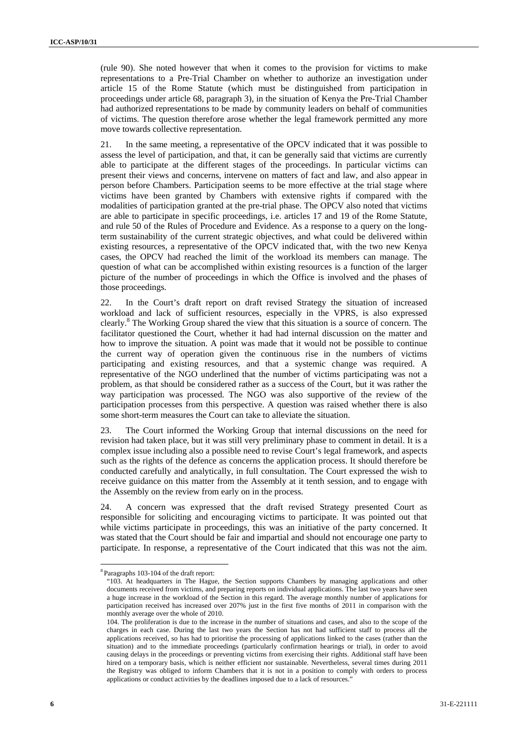(rule 90). She noted however that when it comes to the provision for victims to make representations to a Pre-Trial Chamber on whether to authorize an investigation under article 15 of the Rome Statute (which must be distinguished from participation in proceedings under article 68, paragraph 3), in the situation of Kenya the Pre-Trial Chamber had authorized representations to be made by community leaders on behalf of communities of victims. The question therefore arose whether the legal framework permitted any more move towards collective representation.

21. In the same meeting, a representative of the OPCV indicated that it was possible to assess the level of participation, and that, it can be generally said that victims are currently able to participate at the different stages of the proceedings. In particular victims can present their views and concerns, intervene on matters of fact and law, and also appear in person before Chambers. Participation seems to be more effective at the trial stage where victims have been granted by Chambers with extensive rights if compared with the modalities of participation granted at the pre-trial phase. The OPCV also noted that victims are able to participate in specific proceedings, i.e. articles 17 and 19 of the Rome Statute, and rule 50 of the Rules of Procedure and Evidence. As a response to a query on the longterm sustainability of the current strategic objectives, and what could be delivered within existing resources, a representative of the OPCV indicated that, with the two new Kenya cases, the OPCV had reached the limit of the workload its members can manage. The question of what can be accomplished within existing resources is a function of the larger picture of the number of proceedings in which the Office is involved and the phases of those proceedings.

22. In the Court's draft report on draft revised Strategy the situation of increased workload and lack of sufficient resources, especially in the VPRS, is also expressed clearly.<sup>8</sup> The Working Group shared the view that this situation is a source of concern. The facilitator questioned the Court, whether it had had internal discussion on the matter and how to improve the situation. A point was made that it would not be possible to continue the current way of operation given the continuous rise in the numbers of victims participating and existing resources, and that a systemic change was required. A representative of the NGO underlined that the number of victims participating was not a problem, as that should be considered rather as a success of the Court, but it was rather the way participation was processed. The NGO was also supportive of the review of the participation processes from this perspective. A question was raised whether there is also some short-term measures the Court can take to alleviate the situation.

23. The Court informed the Working Group that internal discussions on the need for revision had taken place, but it was still very preliminary phase to comment in detail. It is a complex issue including also a possible need to revise Court's legal framework, and aspects such as the rights of the defence as concerns the application process. It should therefore be conducted carefully and analytically, in full consultation. The Court expressed the wish to receive guidance on this matter from the Assembly at it tenth session, and to engage with the Assembly on the review from early on in the process.

24. A concern was expressed that the draft revised Strategy presented Court as responsible for soliciting and encouraging victims to participate. It was pointed out that while victims participate in proceedings, this was an initiative of the party concerned. It was stated that the Court should be fair and impartial and should not encourage one party to participate. In response, a representative of the Court indicated that this was not the aim.

<sup>8</sup> Paragraphs 103-104 of the draft report:

<sup>&</sup>quot;103. At headquarters in The Hague, the Section supports Chambers by managing applications and other documents received from victims, and preparing reports on individual applications. The last two years have seen a huge increase in the workload of the Section in this regard. The average monthly number of applications for participation received has increased over 207% just in the first five months of 2011 in comparison with the monthly average over the whole of 2010.

<sup>104.</sup> The proliferation is due to the increase in the number of situations and cases, and also to the scope of the charges in each case. During the last two years the Section has not had sufficient staff to process all the applications received, so has had to prioritise the processing of applications linked to the cases (rather than the situation) and to the immediate proceedings (particularly confirmation hearings or trial), in order to avoid causing delays in the proceedings or preventing victims from exercising their rights. Additional staff have been hired on a temporary basis, which is neither efficient nor sustainable. Nevertheless, several times during 2011 the Registry was obliged to inform Chambers that it is not in a position to comply with orders to process applications or conduct activities by the deadlines imposed due to a lack of resources."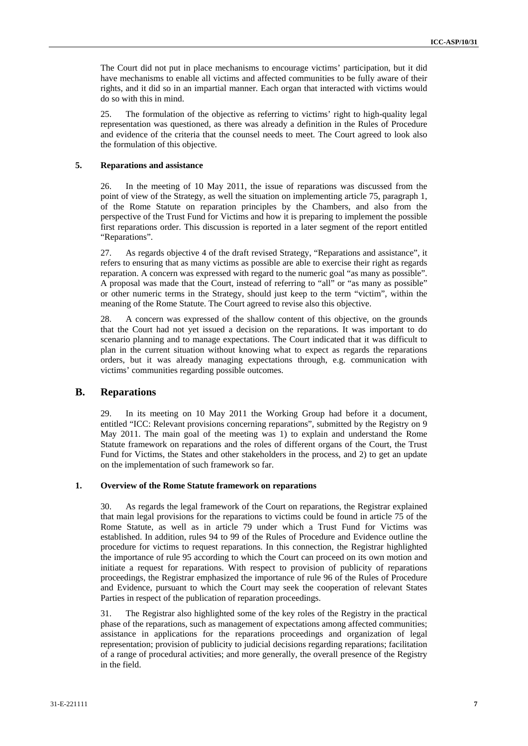The Court did not put in place mechanisms to encourage victims' participation, but it did have mechanisms to enable all victims and affected communities to be fully aware of their rights, and it did so in an impartial manner. Each organ that interacted with victims would do so with this in mind.

25. The formulation of the objective as referring to victims' right to high-quality legal representation was questioned, as there was already a definition in the Rules of Procedure and evidence of the criteria that the counsel needs to meet. The Court agreed to look also the formulation of this objective.

#### **5. Reparations and assistance**

26. In the meeting of 10 May 2011, the issue of reparations was discussed from the point of view of the Strategy, as well the situation on implementing article 75, paragraph 1, of the Rome Statute on reparation principles by the Chambers, and also from the perspective of the Trust Fund for Victims and how it is preparing to implement the possible first reparations order. This discussion is reported in a later segment of the report entitled "Reparations".

27. As regards objective 4 of the draft revised Strategy, "Reparations and assistance", it refers to ensuring that as many victims as possible are able to exercise their right as regards reparation. A concern was expressed with regard to the numeric goal "as many as possible". A proposal was made that the Court, instead of referring to "all" or "as many as possible" or other numeric terms in the Strategy, should just keep to the term "victim", within the meaning of the Rome Statute. The Court agreed to revise also this objective.

28. A concern was expressed of the shallow content of this objective, on the grounds that the Court had not yet issued a decision on the reparations. It was important to do scenario planning and to manage expectations. The Court indicated that it was difficult to plan in the current situation without knowing what to expect as regards the reparations orders, but it was already managing expectations through, e.g. communication with victims' communities regarding possible outcomes.

### **B. Reparations**

29. In its meeting on 10 May 2011 the Working Group had before it a document, entitled "ICC: Relevant provisions concerning reparations", submitted by the Registry on 9 May 2011. The main goal of the meeting was 1) to explain and understand the Rome Statute framework on reparations and the roles of different organs of the Court, the Trust Fund for Victims, the States and other stakeholders in the process, and 2) to get an update on the implementation of such framework so far.

#### **1. Overview of the Rome Statute framework on reparations**

30. As regards the legal framework of the Court on reparations, the Registrar explained that main legal provisions for the reparations to victims could be found in article 75 of the Rome Statute, as well as in article 79 under which a Trust Fund for Victims was established. In addition, rules 94 to 99 of the Rules of Procedure and Evidence outline the procedure for victims to request reparations. In this connection, the Registrar highlighted the importance of rule 95 according to which the Court can proceed on its own motion and initiate a request for reparations. With respect to provision of publicity of reparations proceedings, the Registrar emphasized the importance of rule 96 of the Rules of Procedure and Evidence, pursuant to which the Court may seek the cooperation of relevant States Parties in respect of the publication of reparation proceedings.

31. The Registrar also highlighted some of the key roles of the Registry in the practical phase of the reparations, such as management of expectations among affected communities; assistance in applications for the reparations proceedings and organization of legal representation; provision of publicity to judicial decisions regarding reparations; facilitation of a range of procedural activities; and more generally, the overall presence of the Registry in the field.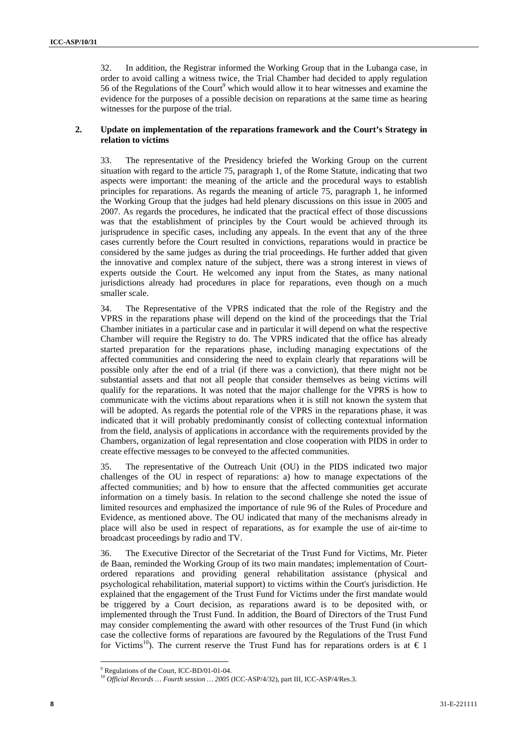32. In addition, the Registrar informed the Working Group that in the Lubanga case, in order to avoid calling a witness twice, the Trial Chamber had decided to apply regulation 56 of the Regulations of the Court<sup>9</sup> which would allow it to hear witnesses and examine the evidence for the purposes of a possible decision on reparations at the same time as hearing witnesses for the purpose of the trial.

#### **2. Update on implementation of the reparations framework and the Court's Strategy in relation to victims**

33. The representative of the Presidency briefed the Working Group on the current situation with regard to the article 75, paragraph 1, of the Rome Statute, indicating that two aspects were important: the meaning of the article and the procedural ways to establish principles for reparations. As regards the meaning of article 75, paragraph 1, he informed the Working Group that the judges had held plenary discussions on this issue in 2005 and 2007. As regards the procedures, he indicated that the practical effect of those discussions was that the establishment of principles by the Court would be achieved through its jurisprudence in specific cases, including any appeals. In the event that any of the three cases currently before the Court resulted in convictions, reparations would in practice be considered by the same judges as during the trial proceedings. He further added that given the innovative and complex nature of the subject, there was a strong interest in views of experts outside the Court. He welcomed any input from the States, as many national jurisdictions already had procedures in place for reparations, even though on a much smaller scale.

34. The Representative of the VPRS indicated that the role of the Registry and the VPRS in the reparations phase will depend on the kind of the proceedings that the Trial Chamber initiates in a particular case and in particular it will depend on what the respective Chamber will require the Registry to do. The VPRS indicated that the office has already started preparation for the reparations phase, including managing expectations of the affected communities and considering the need to explain clearly that reparations will be possible only after the end of a trial (if there was a conviction), that there might not be substantial assets and that not all people that consider themselves as being victims will qualify for the reparations. It was noted that the major challenge for the VPRS is how to communicate with the victims about reparations when it is still not known the system that will be adopted. As regards the potential role of the VPRS in the reparations phase, it was indicated that it will probably predominantly consist of collecting contextual information from the field, analysis of applications in accordance with the requirements provided by the Chambers, organization of legal representation and close cooperation with PIDS in order to create effective messages to be conveyed to the affected communities.

35. The representative of the Outreach Unit (OU) in the PIDS indicated two major challenges of the OU in respect of reparations: a) how to manage expectations of the affected communities; and b) how to ensure that the affected communities get accurate information on a timely basis. In relation to the second challenge she noted the issue of limited resources and emphasized the importance of rule 96 of the Rules of Procedure and Evidence, as mentioned above. The OU indicated that many of the mechanisms already in place will also be used in respect of reparations, as for example the use of air-time to broadcast proceedings by radio and TV.

36. The Executive Director of the Secretariat of the Trust Fund for Victims, Mr. Pieter de Baan, reminded the Working Group of its two main mandates; implementation of Courtordered reparations and providing general rehabilitation assistance (physical and psychological rehabilitation, material support) to victims within the Court's jurisdiction. He explained that the engagement of the Trust Fund for Victims under the first mandate would be triggered by a Court decision, as reparations award is to be deposited with, or implemented through the Trust Fund. In addition, the Board of Directors of the Trust Fund may consider complementing the award with other resources of the Trust Fund (in which case the collective forms of reparations are favoured by the Regulations of the Trust Fund for Victims<sup>10</sup>). The current reserve the Trust Fund has for reparations orders is at  $\epsilon$  1

 $\overline{a}$ <sup>9</sup> Regulations of the Court, ICC-BD/01-01-04.

<sup>&</sup>lt;sup>10</sup> Official Records ... Fourth session ... 2005 (ICC-ASP/4/32), part III, ICC-ASP/4/Res.3.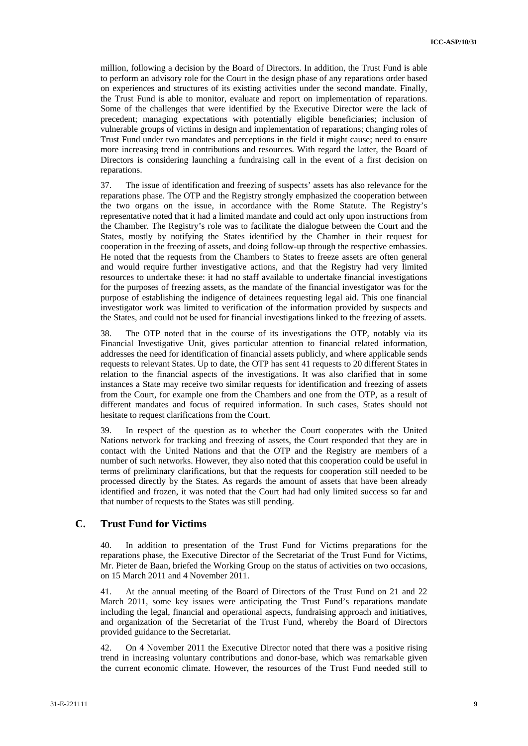million, following a decision by the Board of Directors. In addition, the Trust Fund is able to perform an advisory role for the Court in the design phase of any reparations order based on experiences and structures of its existing activities under the second mandate. Finally, the Trust Fund is able to monitor, evaluate and report on implementation of reparations. Some of the challenges that were identified by the Executive Director were the lack of precedent; managing expectations with potentially eligible beneficiaries; inclusion of vulnerable groups of victims in design and implementation of reparations; changing roles of Trust Fund under two mandates and perceptions in the field it might cause; need to ensure more increasing trend in contributions and resources. With regard the latter, the Board of Directors is considering launching a fundraising call in the event of a first decision on reparations.

37. The issue of identification and freezing of suspects' assets has also relevance for the reparations phase. The OTP and the Registry strongly emphasized the cooperation between the two organs on the issue, in accordance with the Rome Statute. The Registry's representative noted that it had a limited mandate and could act only upon instructions from the Chamber. The Registry's role was to facilitate the dialogue between the Court and the States, mostly by notifying the States identified by the Chamber in their request for cooperation in the freezing of assets, and doing follow-up through the respective embassies. He noted that the requests from the Chambers to States to freeze assets are often general and would require further investigative actions, and that the Registry had very limited resources to undertake these: it had no staff available to undertake financial investigations for the purposes of freezing assets, as the mandate of the financial investigator was for the purpose of establishing the indigence of detainees requesting legal aid. This one financial investigator work was limited to verification of the information provided by suspects and the States, and could not be used for financial investigations linked to the freezing of assets.

38. The OTP noted that in the course of its investigations the OTP, notably via its Financial Investigative Unit, gives particular attention to financial related information, addresses the need for identification of financial assets publicly, and where applicable sends requests to relevant States. Up to date, the OTP has sent 41 requests to 20 different States in relation to the financial aspects of the investigations. It was also clarified that in some instances a State may receive two similar requests for identification and freezing of assets from the Court, for example one from the Chambers and one from the OTP, as a result of different mandates and focus of required information. In such cases, States should not hesitate to request clarifications from the Court.

39. In respect of the question as to whether the Court cooperates with the United Nations network for tracking and freezing of assets, the Court responded that they are in contact with the United Nations and that the OTP and the Registry are members of a number of such networks. However, they also noted that this cooperation could be useful in terms of preliminary clarifications, but that the requests for cooperation still needed to be processed directly by the States. As regards the amount of assets that have been already identified and frozen, it was noted that the Court had had only limited success so far and that number of requests to the States was still pending.

### **C. Trust Fund for Victims**

40. In addition to presentation of the Trust Fund for Victims preparations for the reparations phase, the Executive Director of the Secretariat of the Trust Fund for Victims, Mr. Pieter de Baan, briefed the Working Group on the status of activities on two occasions, on 15 March 2011 and 4 November 2011.

41. At the annual meeting of the Board of Directors of the Trust Fund on 21 and 22 March 2011, some key issues were anticipating the Trust Fund's reparations mandate including the legal, financial and operational aspects, fundraising approach and initiatives, and organization of the Secretariat of the Trust Fund, whereby the Board of Directors provided guidance to the Secretariat.

42. On 4 November 2011 the Executive Director noted that there was a positive rising trend in increasing voluntary contributions and donor-base, which was remarkable given the current economic climate. However, the resources of the Trust Fund needed still to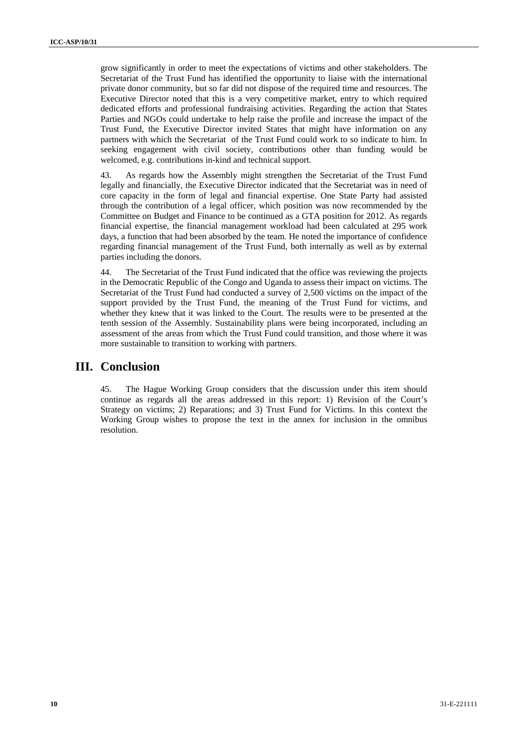grow significantly in order to meet the expectations of victims and other stakeholders. The Secretariat of the Trust Fund has identified the opportunity to liaise with the international private donor community, but so far did not dispose of the required time and resources. The Executive Director noted that this is a very competitive market, entry to which required dedicated efforts and professional fundraising activities. Regarding the action that States Parties and NGOs could undertake to help raise the profile and increase the impact of the Trust Fund, the Executive Director invited States that might have information on any partners with which the Secretariat of the Trust Fund could work to so indicate to him. In seeking engagement with civil society, contributions other than funding would be welcomed, e.g. contributions in-kind and technical support.

43. As regards how the Assembly might strengthen the Secretariat of the Trust Fund legally and financially, the Executive Director indicated that the Secretariat was in need of core capacity in the form of legal and financial expertise. One State Party had assisted through the contribution of a legal officer, which position was now recommended by the Committee on Budget and Finance to be continued as a GTA position for 2012. As regards financial expertise, the financial management workload had been calculated at 295 work days, a function that had been absorbed by the team. He noted the importance of confidence regarding financial management of the Trust Fund, both internally as well as by external parties including the donors.

44. The Secretariat of the Trust Fund indicated that the office was reviewing the projects in the Democratic Republic of the Congo and Uganda to assess their impact on victims. The Secretariat of the Trust Fund had conducted a survey of 2,500 victims on the impact of the support provided by the Trust Fund, the meaning of the Trust Fund for victims, and whether they knew that it was linked to the Court. The results were to be presented at the tenth session of the Assembly. Sustainability plans were being incorporated, including an assessment of the areas from which the Trust Fund could transition, and those where it was more sustainable to transition to working with partners.

# **III. Conclusion**

45. The Hague Working Group considers that the discussion under this item should continue as regards all the areas addressed in this report: 1) Revision of the Court's Strategy on victims; 2) Reparations; and 3) Trust Fund for Victims. In this context the Working Group wishes to propose the text in the annex for inclusion in the omnibus resolution.